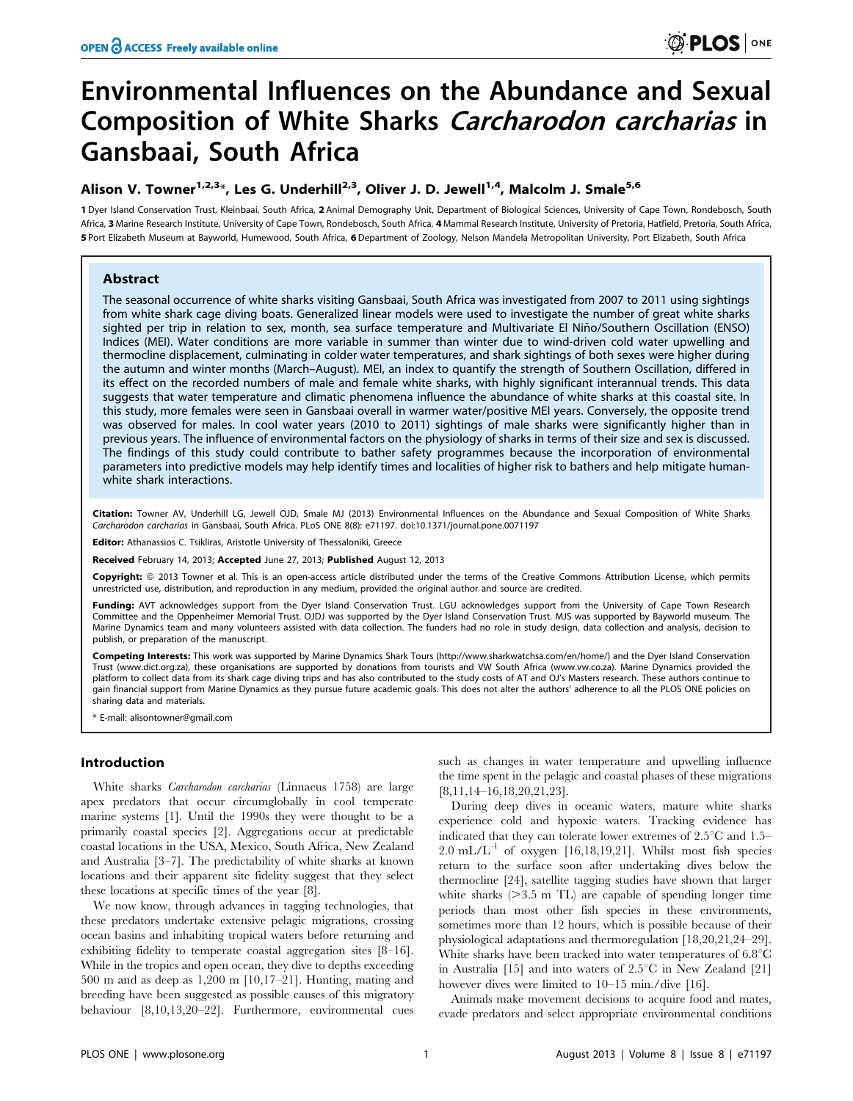# Environmental Influences on the Abundance and Sexual Composition of White Sharks Carcharodon carcharias in Gansbaai, South Africa

# Alison V. Towner<sup>1,2,3\*</sup>, Les G. Underhill<sup>2,3</sup>, Oliver J. D. Jewell<sup>1,4</sup>, Malcolm J. Smale<sup>5,6</sup>

1 Dyer Island Conservation Trust, Kleinbaai, South Africa, 2 Animal Demography Unit, Department of Biological Sciences, University of Cape Town, Rondebosch, South Africa, 3 Marine Research Institute, University of Cape Town, Rondebosch, South Africa, 4 Mammal Research Institute, University of Pretoria, Hatfield, Pretoria, South Africa, 5 Port Elizabeth Museum at Bayworld, Humewood, South Africa, 6 Department of Zoology, Nelson Mandela Metropolitan University, Port Elizabeth, South Africa

# Abstract

The seasonal occurrence of white sharks visiting Gansbaai, South Africa was investigated from 2007 to 2011 using sightings from white shark cage diving boats. Generalized linear models were used to investigate the number of great white sharks sighted per trip in relation to sex, month, sea surface temperature and Multivariate El Niño/Southern Oscillation (ENSO) Indices (MEI). Water conditions are more variable in summer than winter due to wind-driven cold water upwelling and thermocline displacement, culminating in colder water temperatures, and shark sightings of both sexes were higher during the autumn and winter months (March–August). MEI, an index to quantify the strength of Southern Oscillation, differed in its effect on the recorded numbers of male and female white sharks, with highly significant interannual trends. This data suggests that water temperature and climatic phenomena influence the abundance of white sharks at this coastal site. In this study, more females were seen in Gansbaai overall in warmer water/positive MEI years. Conversely, the opposite trend was observed for males. In cool water years (2010 to 2011) sightings of male sharks were significantly higher than in previous years. The influence of environmental factors on the physiology of sharks in terms of their size and sex is discussed. The findings of this study could contribute to bather safety programmes because the incorporation of environmental parameters into predictive models may help identify times and localities of higher risk to bathers and help mitigate humanwhite shark interactions.

Citation: Towner AV, Underhill LG, Jewell OJD, Smale MJ (2013) Environmental Influences on the Abundance and Sexual Composition of White Sharks Carcharodon carcharias in Gansbaai, South Africa. PLoS ONE 8(8): e71197. doi:10.1371/journal.pone.0071197

Editor: Athanassios C. Tsikliras, Aristotle University of Thessaloniki, Greece

Received February 14, 2013; Accepted June 27, 2013; Published August 12, 2013

Copyright: © 2013 Towner et al. This is an open-access article distributed under the terms of the Creative Commons Attribution License, which permits unrestricted use, distribution, and reproduction in any medium, provided the original author and source are credited.

Funding: AVT acknowledges support from the Dyer Island Conservation Trust. LGU acknowledges support from the University of Cape Town Research Committee and the Oppenheimer Memorial Trust. OJDJ was supported by the Dyer Island Conservation Trust. MJS was supported by Bayworld museum. The Marine Dynamics team and many volunteers assisted with data collection. The funders had no role in study design, data collection and analysis, decision to publish, or preparation of the manuscript.

Competing Interests: This work was supported by Marine Dynamics Shark Tours (http://www.sharkwatchsa.com/en/home/) and the Dyer Island Conservation Trust (www.dict.org.za), these organisations are supported by donations from tourists and VW South Africa (www.vw.co.za). Marine Dynamics provided the platform to collect data from its shark cage diving trips and has also contributed to the study costs of AT and OJ's Masters research. These authors continue to gain financial support from Marine Dynamics as they pursue future academic goals. This does not alter the authors' adherence to all the PLOS ONE policies on sharing data and materials.

E-mail: alisontowner@gmail.com

## Introduction

White sharks Carcharodon carcharias (Linnaeus 1758) are large apex predators that occur circumglobally in cool temperate marine systems [1]. Until the 1990s they were thought to be a primarily coastal species [2]. Aggregations occur at predictable coastal locations in the USA, Mexico, South Africa, New Zealand and Australia [3–7]. The predictability of white sharks at known locations and their apparent site fidelity suggest that they select these locations at specific times of the year [8].

We now know, through advances in tagging technologies, that these predators undertake extensive pelagic migrations, crossing ocean basins and inhabiting tropical waters before returning and exhibiting fidelity to temperate coastal aggregation sites [8–16]. While in the tropics and open ocean, they dive to depths exceeding 500 m and as deep as 1,200 m [10,17–21]. Hunting, mating and breeding have been suggested as possible causes of this migratory behaviour [8,10,13,20–22]. Furthermore, environmental cues

such as changes in water temperature and upwelling influence the time spent in the pelagic and coastal phases of these migrations [8,11,14–16,18,20,21,23].

During deep dives in oceanic waters, mature white sharks experience cold and hypoxic waters. Tracking evidence has indicated that they can tolerate lower extremes of  $2.5^{\circ}$ C and 1.5– 2.0 mL/L $^{-1}$  of oxygen [16,18,19,21]. Whilst most fish species return to the surface soon after undertaking dives below the thermocline [24], satellite tagging studies have shown that larger white sharks  $(>= 3.5$  m TL) are capable of spending longer time periods than most other fish species in these environments, sometimes more than 12 hours, which is possible because of their physiological adaptations and thermoregulation [18,20,21,24–29]. White sharks have been tracked into water temperatures of  $6.8^{\circ}$ C in Australia [15] and into waters of  $2.5^{\circ}$ C in New Zealand [21] however dives were limited to 10–15 min./dive [16].

Animals make movement decisions to acquire food and mates, evade predators and select appropriate environmental conditions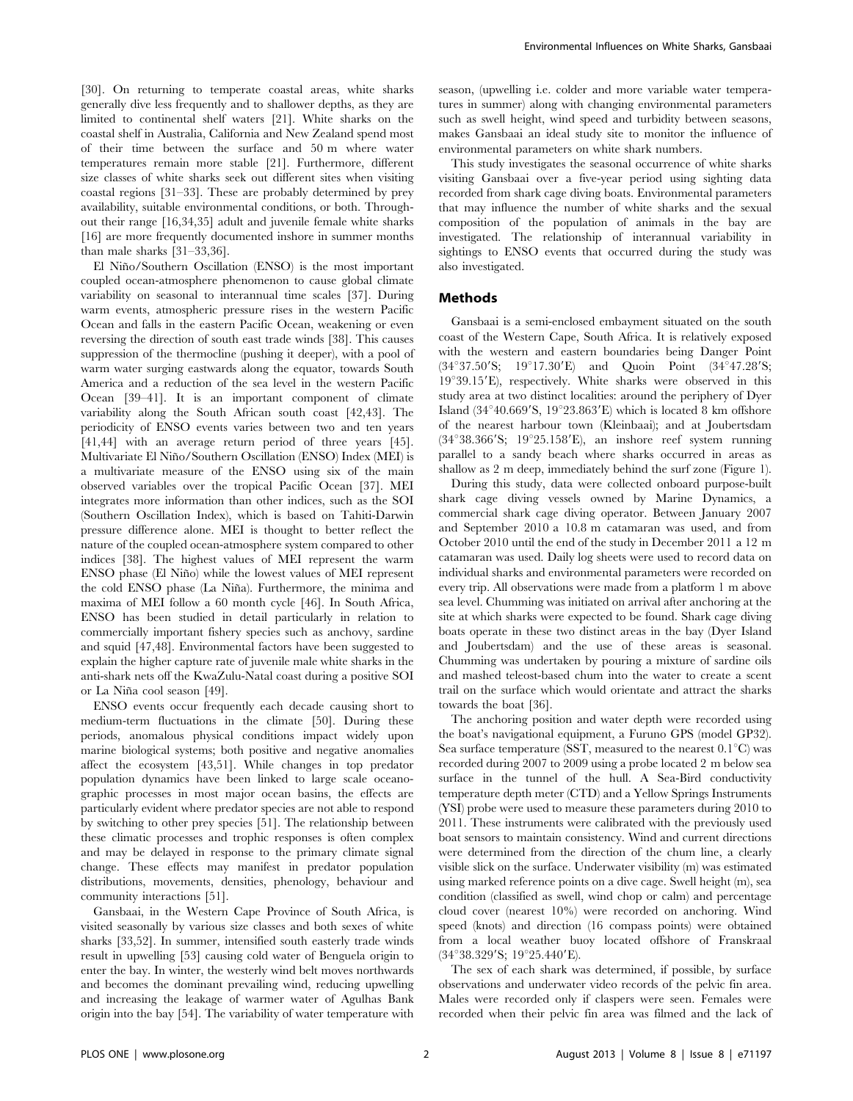[30]. On returning to temperate coastal areas, white sharks generally dive less frequently and to shallower depths, as they are limited to continental shelf waters [21]. White sharks on the coastal shelf in Australia, California and New Zealand spend most of their time between the surface and 50 m where water temperatures remain more stable [21]. Furthermore, different size classes of white sharks seek out different sites when visiting coastal regions [31–33]. These are probably determined by prey availability, suitable environmental conditions, or both. Throughout their range [16,34,35] adult and juvenile female white sharks [16] are more frequently documented inshore in summer months than male sharks [31–33,36].

El Niño/Southern Oscillation (ENSO) is the most important coupled ocean-atmosphere phenomenon to cause global climate variability on seasonal to interannual time scales [37]. During warm events, atmospheric pressure rises in the western Pacific Ocean and falls in the eastern Pacific Ocean, weakening or even reversing the direction of south east trade winds [38]. This causes suppression of the thermocline (pushing it deeper), with a pool of warm water surging eastwards along the equator, towards South America and a reduction of the sea level in the western Pacific Ocean [39–41]. It is an important component of climate variability along the South African south coast [42,43]. The periodicity of ENSO events varies between two and ten years [41,44] with an average return period of three years [45]. Multivariate El Niño/Southern Oscillation (ENSO) Index (MEI) is a multivariate measure of the ENSO using six of the main observed variables over the tropical Pacific Ocean [37]. MEI integrates more information than other indices, such as the SOI (Southern Oscillation Index), which is based on Tahiti-Darwin pressure difference alone. MEI is thought to better reflect the nature of the coupled ocean-atmosphere system compared to other indices [38]. The highest values of MEI represent the warm ENSO phase (El Niño) while the lowest values of MEI represent the cold ENSO phase (La Niña). Furthermore, the minima and maxima of MEI follow a 60 month cycle [46]. In South Africa, ENSO has been studied in detail particularly in relation to commercially important fishery species such as anchovy, sardine and squid [47,48]. Environmental factors have been suggested to explain the higher capture rate of juvenile male white sharks in the anti-shark nets off the KwaZulu-Natal coast during a positive SOI or La Niña cool season [49].

ENSO events occur frequently each decade causing short to medium-term fluctuations in the climate [50]. During these periods, anomalous physical conditions impact widely upon marine biological systems; both positive and negative anomalies affect the ecosystem [43,51]. While changes in top predator population dynamics have been linked to large scale oceanographic processes in most major ocean basins, the effects are particularly evident where predator species are not able to respond by switching to other prey species [51]. The relationship between these climatic processes and trophic responses is often complex and may be delayed in response to the primary climate signal change. These effects may manifest in predator population distributions, movements, densities, phenology, behaviour and community interactions [51].

Gansbaai, in the Western Cape Province of South Africa, is visited seasonally by various size classes and both sexes of white sharks [33,52]. In summer, intensified south easterly trade winds result in upwelling [53] causing cold water of Benguela origin to enter the bay. In winter, the westerly wind belt moves northwards and becomes the dominant prevailing wind, reducing upwelling and increasing the leakage of warmer water of Agulhas Bank origin into the bay [54]. The variability of water temperature with season, (upwelling i.e. colder and more variable water temperatures in summer) along with changing environmental parameters such as swell height, wind speed and turbidity between seasons, makes Gansbaai an ideal study site to monitor the influence of environmental parameters on white shark numbers.

This study investigates the seasonal occurrence of white sharks visiting Gansbaai over a five-year period using sighting data recorded from shark cage diving boats. Environmental parameters that may influence the number of white sharks and the sexual composition of the population of animals in the bay are investigated. The relationship of interannual variability in sightings to ENSO events that occurred during the study was also investigated.

## Methods

Gansbaai is a semi-enclosed embayment situated on the south coast of the Western Cape, South Africa. It is relatively exposed with the western and eastern boundaries being Danger Point  $(34^{\circ}37.50^{\prime}\text{S}; 19^{\circ}17.30^{\prime}\text{E})$  and Quoin Point  $(34^{\circ}47.28^{\prime}\text{S};$  $19^{\circ}39.15'$ E), respectively. White sharks were observed in this study area at two distinct localities: around the periphery of Dyer Island (34 $\degree$ 40.669'S, 19 $\degree$ 23.863'E) which is located 8 km offshore of the nearest harbour town (Kleinbaai); and at Joubertsdam  $(34°38.366'S; 19°25.158'E)$ , an inshore reef system running parallel to a sandy beach where sharks occurred in areas as shallow as 2 m deep, immediately behind the surf zone (Figure 1).

During this study, data were collected onboard purpose-built shark cage diving vessels owned by Marine Dynamics, a commercial shark cage diving operator. Between January 2007 and September 2010 a 10.8 m catamaran was used, and from October 2010 until the end of the study in December 2011 a 12 m catamaran was used. Daily log sheets were used to record data on individual sharks and environmental parameters were recorded on every trip. All observations were made from a platform 1 m above sea level. Chumming was initiated on arrival after anchoring at the site at which sharks were expected to be found. Shark cage diving boats operate in these two distinct areas in the bay (Dyer Island and Joubertsdam) and the use of these areas is seasonal. Chumming was undertaken by pouring a mixture of sardine oils and mashed teleost-based chum into the water to create a scent trail on the surface which would orientate and attract the sharks towards the boat [36].

The anchoring position and water depth were recorded using the boat's navigational equipment, a Furuno GPS (model GP32). Sea surface temperature (SST, measured to the nearest  $0.1^{\circ}\mathrm{C}\mathrm{)}$  was recorded during 2007 to 2009 using a probe located 2 m below sea surface in the tunnel of the hull. A Sea-Bird conductivity temperature depth meter (CTD) and a Yellow Springs Instruments (YSI) probe were used to measure these parameters during 2010 to 2011. These instruments were calibrated with the previously used boat sensors to maintain consistency. Wind and current directions were determined from the direction of the chum line, a clearly visible slick on the surface. Underwater visibility (m) was estimated using marked reference points on a dive cage. Swell height (m), sea condition (classified as swell, wind chop or calm) and percentage cloud cover (nearest 10%) were recorded on anchoring. Wind speed (knots) and direction (16 compass points) were obtained from a local weather buoy located offshore of Franskraal (34°38.329'S; 19°25.440'E).

The sex of each shark was determined, if possible, by surface observations and underwater video records of the pelvic fin area. Males were recorded only if claspers were seen. Females were recorded when their pelvic fin area was filmed and the lack of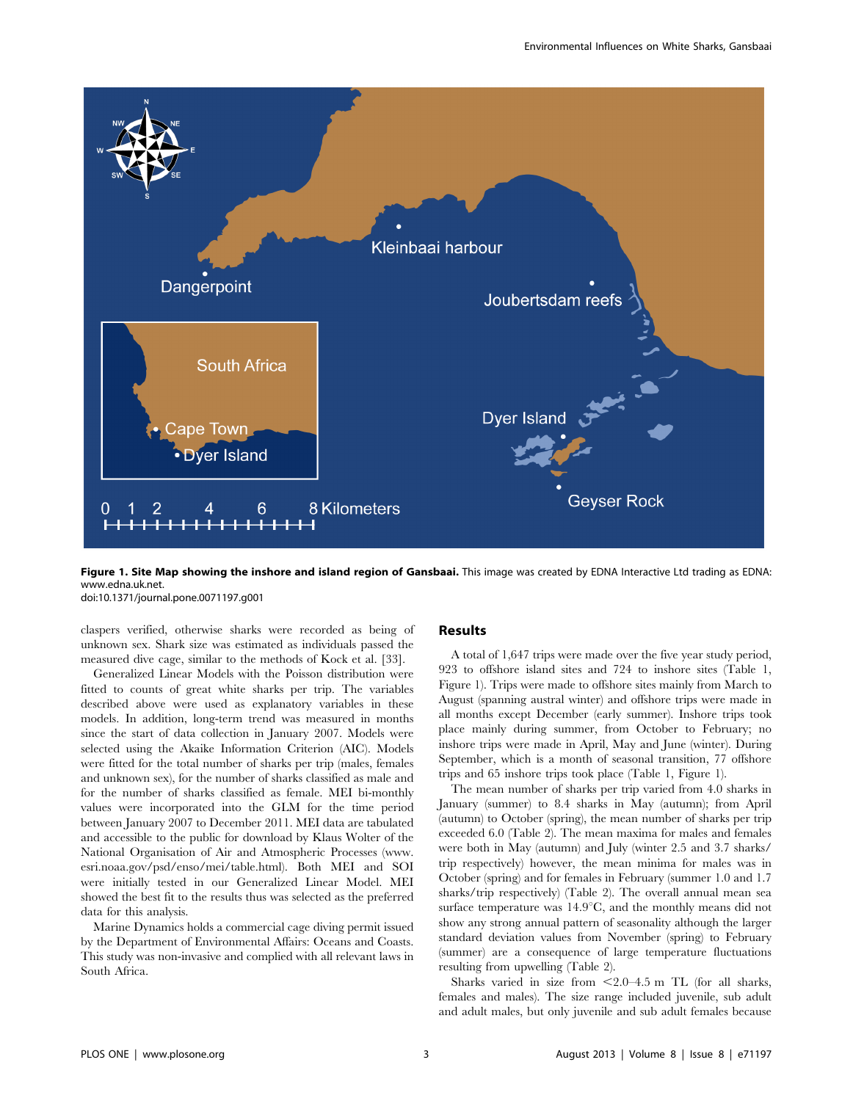

Figure 1. Site Map showing the inshore and island region of Gansbaai. This image was created by EDNA Interactive Ltd trading as EDNA: www.edna.uk.net.

doi:10.1371/journal.pone.0071197.g001

claspers verified, otherwise sharks were recorded as being of unknown sex. Shark size was estimated as individuals passed the measured dive cage, similar to the methods of Kock et al. [33].

Generalized Linear Models with the Poisson distribution were fitted to counts of great white sharks per trip. The variables described above were used as explanatory variables in these models. In addition, long-term trend was measured in months since the start of data collection in January 2007. Models were selected using the Akaike Information Criterion (AIC). Models were fitted for the total number of sharks per trip (males, females and unknown sex), for the number of sharks classified as male and for the number of sharks classified as female. MEI bi-monthly values were incorporated into the GLM for the time period between January 2007 to December 2011. MEI data are tabulated and accessible to the public for download by Klaus Wolter of the National Organisation of Air and Atmospheric Processes (www. esri.noaa.gov/psd/enso/mei/table.html). Both MEI and SOI were initially tested in our Generalized Linear Model. MEI showed the best fit to the results thus was selected as the preferred data for this analysis.

Marine Dynamics holds a commercial cage diving permit issued by the Department of Environmental Affairs: Oceans and Coasts. This study was non-invasive and complied with all relevant laws in South Africa.

#### Results

A total of 1,647 trips were made over the five year study period, 923 to offshore island sites and 724 to inshore sites (Table 1, Figure 1). Trips were made to offshore sites mainly from March to August (spanning austral winter) and offshore trips were made in all months except December (early summer). Inshore trips took place mainly during summer, from October to February; no inshore trips were made in April, May and June (winter). During September, which is a month of seasonal transition, 77 offshore trips and 65 inshore trips took place (Table 1, Figure 1).

The mean number of sharks per trip varied from 4.0 sharks in January (summer) to 8.4 sharks in May (autumn); from April (autumn) to October (spring), the mean number of sharks per trip exceeded 6.0 (Table 2). The mean maxima for males and females were both in May (autumn) and July (winter 2.5 and 3.7 sharks/ trip respectively) however, the mean minima for males was in October (spring) and for females in February (summer 1.0 and 1.7 sharks/trip respectively) (Table 2). The overall annual mean sea surface temperature was  $14.9^{\circ}$ C, and the monthly means did not show any strong annual pattern of seasonality although the larger standard deviation values from November (spring) to February (summer) are a consequence of large temperature fluctuations resulting from upwelling (Table 2).

Sharks varied in size from  $\leq 2.0-4.5$  m TL (for all sharks, females and males). The size range included juvenile, sub adult and adult males, but only juvenile and sub adult females because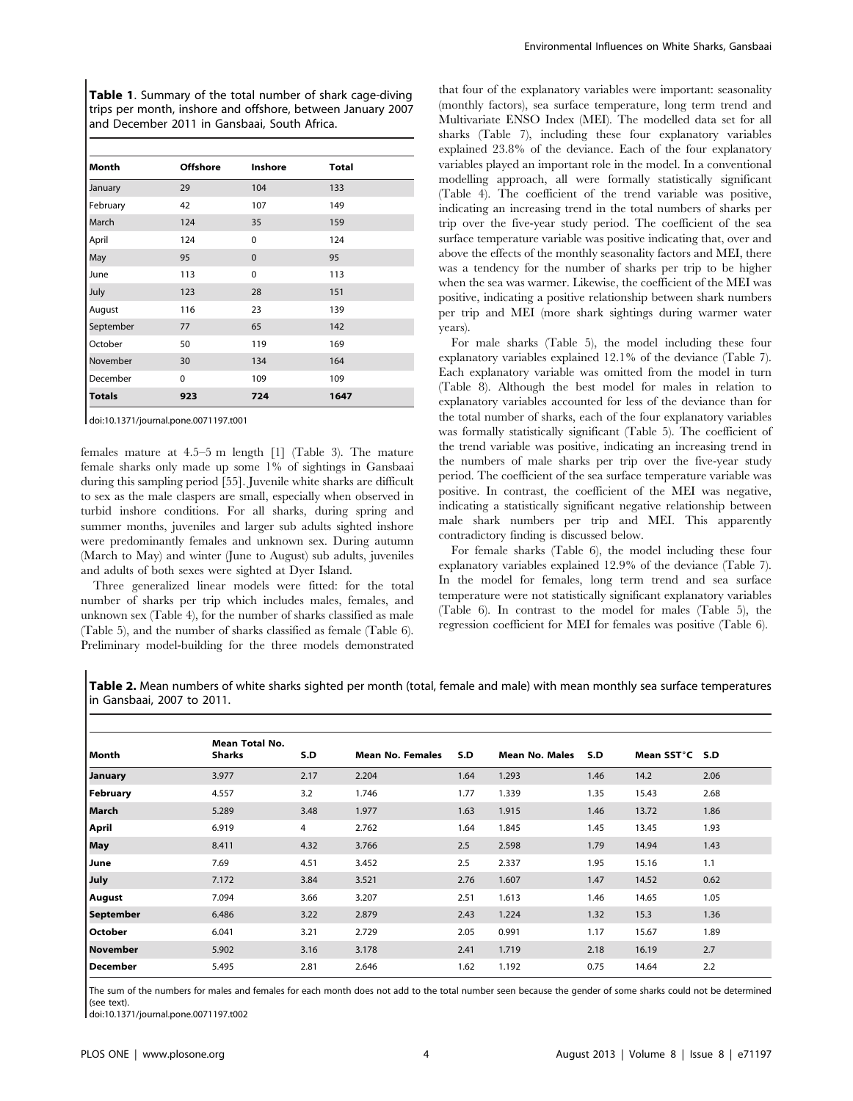Table 1. Summary of the total number of shark cage-diving trips per month, inshore and offshore, between January 2007 and December 2011 in Gansbaai, South Africa.

| Month         | <b>Offshore</b> | Inshore     | <b>Total</b> |
|---------------|-----------------|-------------|--------------|
| January       | 29              | 104         | 133          |
| February      | 42              | 107         | 149          |
| March         | 124             | 35          | 159          |
| April         | 124             | 0           | 124          |
| May           | 95              | $\mathbf 0$ | 95           |
| June          | 113             | 0           | 113          |
| July          | 123             | 28          | 151          |
| August        | 116             | 23          | 139          |
| September     | 77              | 65          | 142          |
| October       | 50              | 119         | 169          |
| November      | 30              | 134         | 164          |
| December      | 0               | 109         | 109          |
| <b>Totals</b> | 923             | 724         | 1647         |

doi:10.1371/journal.pone.0071197.t001

females mature at 4.5–5 m length [1] (Table 3). The mature female sharks only made up some 1% of sightings in Gansbaai during this sampling period [55]. Juvenile white sharks are difficult to sex as the male claspers are small, especially when observed in turbid inshore conditions. For all sharks, during spring and summer months, juveniles and larger sub adults sighted inshore were predominantly females and unknown sex. During autumn (March to May) and winter (June to August) sub adults, juveniles and adults of both sexes were sighted at Dyer Island.

Three generalized linear models were fitted: for the total number of sharks per trip which includes males, females, and unknown sex (Table 4), for the number of sharks classified as male (Table 5), and the number of sharks classified as female (Table 6). Preliminary model-building for the three models demonstrated

that four of the explanatory variables were important: seasonality (monthly factors), sea surface temperature, long term trend and Multivariate ENSO Index (MEI). The modelled data set for all sharks (Table 7), including these four explanatory variables explained 23.8% of the deviance. Each of the four explanatory variables played an important role in the model. In a conventional modelling approach, all were formally statistically significant (Table 4). The coefficient of the trend variable was positive, indicating an increasing trend in the total numbers of sharks per trip over the five-year study period. The coefficient of the sea surface temperature variable was positive indicating that, over and above the effects of the monthly seasonality factors and MEI, there was a tendency for the number of sharks per trip to be higher when the sea was warmer. Likewise, the coefficient of the MEI was positive, indicating a positive relationship between shark numbers per trip and MEI (more shark sightings during warmer water years).

For male sharks (Table 5), the model including these four explanatory variables explained 12.1% of the deviance (Table 7). Each explanatory variable was omitted from the model in turn (Table 8). Although the best model for males in relation to explanatory variables accounted for less of the deviance than for the total number of sharks, each of the four explanatory variables was formally statistically significant (Table 5). The coefficient of the trend variable was positive, indicating an increasing trend in the numbers of male sharks per trip over the five-year study period. The coefficient of the sea surface temperature variable was positive. In contrast, the coefficient of the MEI was negative, indicating a statistically significant negative relationship between male shark numbers per trip and MEI. This apparently contradictory finding is discussed below.

For female sharks (Table 6), the model including these four explanatory variables explained 12.9% of the deviance (Table 7). In the model for females, long term trend and sea surface temperature were not statistically significant explanatory variables (Table 6). In contrast to the model for males (Table 5), the regression coefficient for MEI for females was positive (Table 6).

Table 2. Mean numbers of white sharks sighted per month (total, female and male) with mean monthly sea surface temperatures in Gansbaai, 2007 to 2011.

| Month            | <b>Mean Total No.</b><br><b>Sharks</b> | S.D  | <b>Mean No. Females</b> | S.D  | <b>Mean No. Males</b> | S.D  | Mean SST <sup>°</sup> C S.D |      |
|------------------|----------------------------------------|------|-------------------------|------|-----------------------|------|-----------------------------|------|
| <b>January</b>   | 3.977                                  | 2.17 | 2.204                   | 1.64 | 1.293                 | 1.46 | 14.2                        | 2.06 |
| February         | 4.557                                  | 3.2  | 1.746                   | 1.77 | 1.339                 | 1.35 | 15.43                       | 2.68 |
| <b>March</b>     | 5.289                                  | 3.48 | 1.977                   | 1.63 | 1.915                 | 1.46 | 13.72                       | 1.86 |
| April            | 6.919                                  | 4    | 2.762                   | 1.64 | 1.845                 | 1.45 | 13.45                       | 1.93 |
| May              | 8.411                                  | 4.32 | 3.766                   | 2.5  | 2.598                 | 1.79 | 14.94                       | 1.43 |
| June             | 7.69                                   | 4.51 | 3.452                   | 2.5  | 2.337                 | 1.95 | 15.16                       | 1.1  |
| July             | 7.172                                  | 3.84 | 3.521                   | 2.76 | 1.607                 | 1.47 | 14.52                       | 0.62 |
| <b>August</b>    | 7.094                                  | 3.66 | 3.207                   | 2.51 | 1.613                 | 1.46 | 14.65                       | 1.05 |
| <b>September</b> | 6.486                                  | 3.22 | 2.879                   | 2.43 | 1.224                 | 1.32 | 15.3                        | 1.36 |
| October          | 6.041                                  | 3.21 | 2.729                   | 2.05 | 0.991                 | 1.17 | 15.67                       | 1.89 |
| <b>November</b>  | 5.902                                  | 3.16 | 3.178                   | 2.41 | 1.719                 | 2.18 | 16.19                       | 2.7  |
| December         | 5.495                                  | 2.81 | 2.646                   | 1.62 | 1.192                 | 0.75 | 14.64                       | 2.2  |

The sum of the numbers for males and females for each month does not add to the total number seen because the gender of some sharks could not be determined (see text).

doi:10.1371/journal.pone.0071197.t002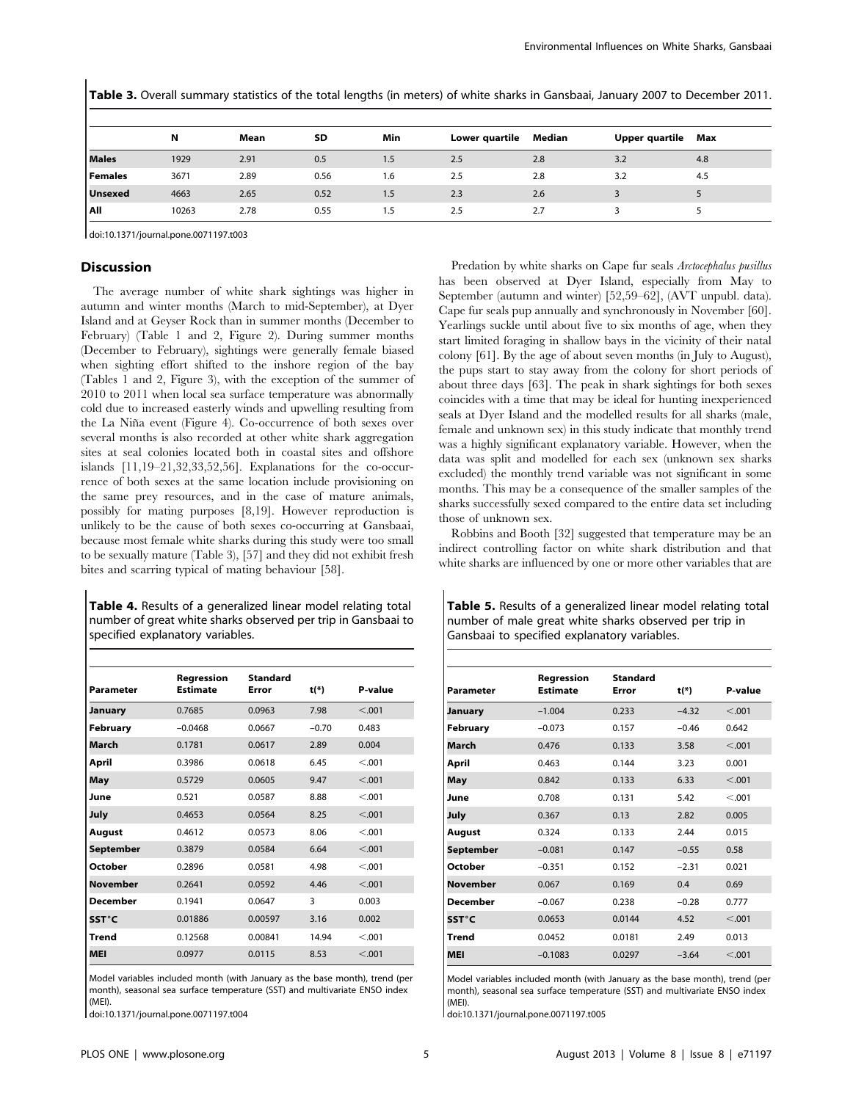Table 3. Overall summary statistics of the total lengths (in meters) of white sharks in Gansbaai, January 2007 to December 2011.

|                | N     | Mean | <b>SD</b> | Min | Lower quartile | Median | Upper quartile | Max |
|----------------|-------|------|-----------|-----|----------------|--------|----------------|-----|
| <b>Males</b>   | 1929  | 2.91 | 0.5       | 1.5 | 2.5            | 2.8    | 3.2            | 4.8 |
| Females        | 3671  | 2.89 | 0.56      | 1.6 | 2.5            | 2.8    | 3.2            | 4.5 |
| <b>Unsexed</b> | 4663  | 2.65 | 0.52      | 1.5 | 2.3            | 2.6    |                |     |
| All            | 10263 | 2.78 | 0.55      | 1.5 | 2.5            | 2.7    |                |     |

doi:10.1371/journal.pone.0071197.t003

### **Discussion**

The average number of white shark sightings was higher in autumn and winter months (March to mid-September), at Dyer Island and at Geyser Rock than in summer months (December to February) (Table 1 and 2, Figure 2). During summer months (December to February), sightings were generally female biased when sighting effort shifted to the inshore region of the bay (Tables 1 and 2, Figure 3), with the exception of the summer of 2010 to 2011 when local sea surface temperature was abnormally cold due to increased easterly winds and upwelling resulting from the La Niña event (Figure 4). Co-occurrence of both sexes over several months is also recorded at other white shark aggregation sites at seal colonies located both in coastal sites and offshore islands [11,19–21,32,33,52,56]. Explanations for the co-occurrence of both sexes at the same location include provisioning on the same prey resources, and in the case of mature animals, possibly for mating purposes [8,19]. However reproduction is unlikely to be the cause of both sexes co-occurring at Gansbaai, because most female white sharks during this study were too small to be sexually mature (Table 3), [57] and they did not exhibit fresh bites and scarring typical of mating behaviour [58].

Table 4. Results of a generalized linear model relating total number of great white sharks observed per trip in Gansbaai to specified explanatory variables.

| <b>Parameter</b> | Regression<br><b>Estimate</b> | <b>Standard</b><br>Error | $t(*)$  | P-value |
|------------------|-------------------------------|--------------------------|---------|---------|
| January          | 0.7685                        | 0.0963                   | 7.98    | < 0.01  |
| February         | $-0.0468$                     | 0.0667                   | $-0.70$ | 0.483   |
| March            | 0.1781                        | 0.0617                   | 2.89    | 0.004   |
| April            | 0.3986                        | 0.0618                   | 6.45    | < 0.01  |
| May              | 0.5729                        | 0.0605                   | 9.47    | < 0.01  |
| June             | 0.521                         | 0.0587                   | 8.88    | < 0.01  |
| July             | 0.4653                        | 0.0564                   | 8.25    | < 0.01  |
| August           | 0.4612                        | 0.0573                   | 8.06    | < 0.01  |
| September        | 0.3879                        | 0.0584                   | 6.64    | < 0.01  |
| October          | 0.2896                        | 0.0581                   | 4.98    | < 0.01  |
| <b>November</b>  | 0.2641                        | 0.0592                   | 4.46    | < 0.01  |
| <b>December</b>  | 0.1941                        | 0.0647                   | 3       | 0.003   |
| <b>SST°C</b>     | 0.01886                       | 0.00597                  | 3.16    | 0.002   |
| Trend            | 0.12568                       | 0.00841                  | 14.94   | < 0.01  |
| <b>MEI</b>       | 0.0977                        | 0.0115                   | 8.53    | < 0.01  |

Model variables included month (with January as the base month), trend (per month), seasonal sea surface temperature (SST) and multivariate ENSO index (MEI).

doi:10.1371/journal.pone.0071197.t004

Predation by white sharks on Cape fur seals Arctocephalus pusillus has been observed at Dyer Island, especially from May to September (autumn and winter) [52,59–62], (AVT unpubl. data). Cape fur seals pup annually and synchronously in November [60]. Yearlings suckle until about five to six months of age, when they start limited foraging in shallow bays in the vicinity of their natal colony [61]. By the age of about seven months (in July to August), the pups start to stay away from the colony for short periods of about three days [63]. The peak in shark sightings for both sexes coincides with a time that may be ideal for hunting inexperienced seals at Dyer Island and the modelled results for all sharks (male, female and unknown sex) in this study indicate that monthly trend was a highly significant explanatory variable. However, when the data was split and modelled for each sex (unknown sex sharks excluded) the monthly trend variable was not significant in some months. This may be a consequence of the smaller samples of the sharks successfully sexed compared to the entire data set including those of unknown sex.

Robbins and Booth [32] suggested that temperature may be an indirect controlling factor on white shark distribution and that white sharks are influenced by one or more other variables that are

Table 5. Results of a generalized linear model relating total number of male great white sharks observed per trip in Gansbaai to specified explanatory variables.

| Parameter               | Regression<br><b>Estimate</b> | <b>Standard</b><br>Error | $t(*)$  | P-value |
|-------------------------|-------------------------------|--------------------------|---------|---------|
| January                 | $-1.004$                      | 0.233                    | $-4.32$ | < 0.01  |
| February                | $-0.073$                      | 0.157                    | $-0.46$ | 0.642   |
| March                   | 0.476                         | 0.133                    | 3.58    | < 0.01  |
| April                   | 0.463                         | 0.144                    | 3.23    | 0.001   |
| May                     | 0.842                         | 0.133                    | 6.33    | < 0.01  |
| June                    | 0.708                         | 0.131                    | 5.42    | < 0.01  |
| July                    | 0.367                         | 0.13                     | 2.82    | 0.005   |
| August                  | 0.324                         | 0.133                    | 2.44    | 0.015   |
| <b>September</b>        | $-0.081$                      | 0.147                    | $-0.55$ | 0.58    |
| October                 | $-0.351$                      | 0.152                    | $-2.31$ | 0.021   |
| <b>November</b>         | 0.067                         | 0.169                    | 0.4     | 0.69    |
| <b>December</b>         | $-0.067$                      | 0.238                    | $-0.28$ | 0.777   |
| <b>SST<sup>°</sup>C</b> | 0.0653                        | 0.0144                   | 4.52    | < .001  |
| Trend                   | 0.0452                        | 0.0181                   | 2.49    | 0.013   |
| <b>MEI</b>              | $-0.1083$                     | 0.0297                   | $-3.64$ | < 0.01  |

Model variables included month (with January as the base month), trend (per month), seasonal sea surface temperature (SST) and multivariate ENSO index (MEI).

doi:10.1371/journal.pone.0071197.t005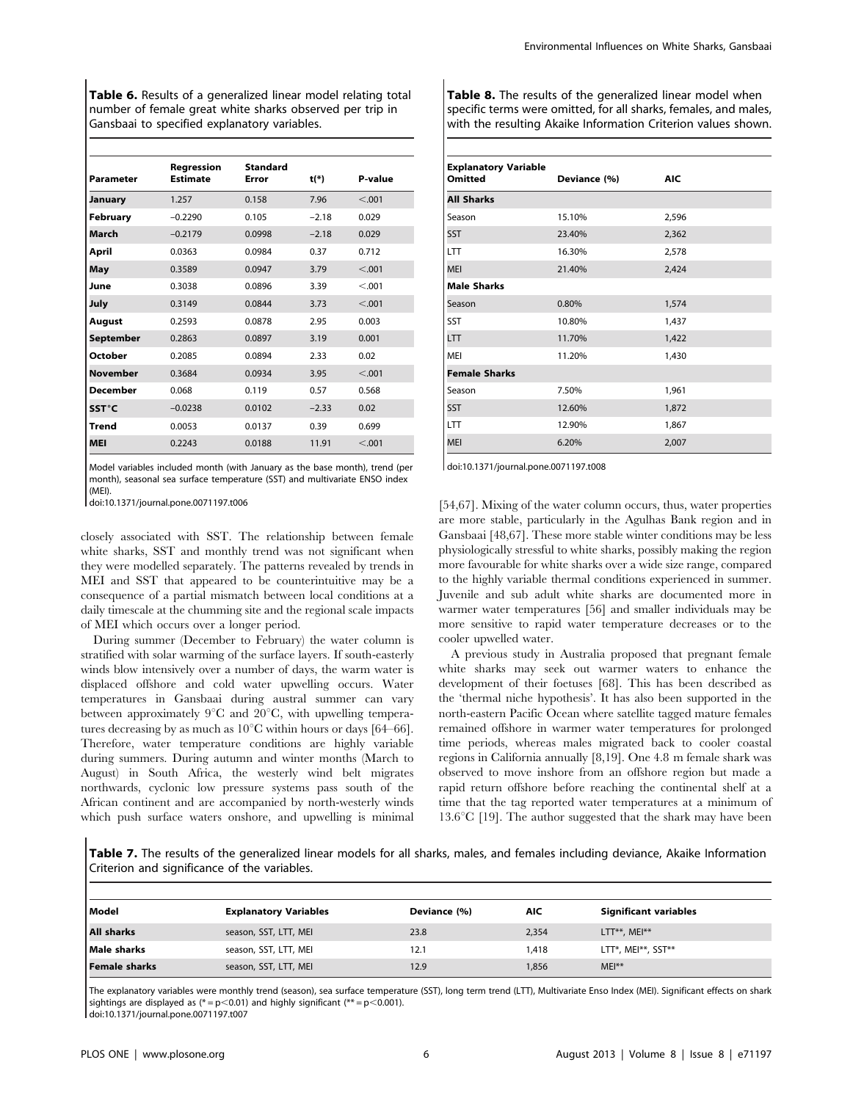Table 6. Results of a generalized linear model relating total number of female great white sharks observed per trip in Gansbaai to specified explanatory variables.

| Parameter               | Regression<br><b>Estimate</b> | <b>Standard</b><br>Error | $t(*)$  | P-value |
|-------------------------|-------------------------------|--------------------------|---------|---------|
| January                 | 1.257                         | 0.158                    | 7.96    | < 0.01  |
| February                | $-0.2290$                     | 0.105                    | $-2.18$ | 0.029   |
| March                   | $-0.2179$                     | 0.0998                   | $-2.18$ | 0.029   |
| April                   | 0.0363                        | 0.0984                   | 0.37    | 0.712   |
| May                     | 0.3589                        | 0.0947                   | 3.79    | < 0.001 |
| June                    | 0.3038                        | 0.0896                   | 3.39    | < 0.01  |
| July                    | 0.3149                        | 0.0844                   | 3.73    | < 0.01  |
| <b>August</b>           | 0.2593                        | 0.0878                   | 2.95    | 0.003   |
| <b>September</b>        | 0.2863                        | 0.0897                   | 3.19    | 0.001   |
| October                 | 0.2085                        | 0.0894                   | 2.33    | 0.02    |
| <b>November</b>         | 0.3684                        | 0.0934                   | 3.95    | < .001  |
| <b>December</b>         | 0.068                         | 0.119                    | 0.57    | 0.568   |
| <b>SST<sup>°</sup>C</b> | $-0.0238$                     | 0.0102                   | $-2.33$ | 0.02    |
| <b>Trend</b>            | 0.0053                        | 0.0137                   | 0.39    | 0.699   |
| <b>MEI</b>              | 0.2243                        | 0.0188                   | 11.91   | < 0.01  |

Model variables included month (with January as the base month), trend (per month), seasonal sea surface temperature (SST) and multivariate ENSO index (MEI).

doi:10.1371/journal.pone.0071197.t006

closely associated with SST. The relationship between female white sharks, SST and monthly trend was not significant when they were modelled separately. The patterns revealed by trends in MEI and SST that appeared to be counterintuitive may be a consequence of a partial mismatch between local conditions at a daily timescale at the chumming site and the regional scale impacts of MEI which occurs over a longer period.

During summer (December to February) the water column is stratified with solar warming of the surface layers. If south-easterly winds blow intensively over a number of days, the warm water is displaced offshore and cold water upwelling occurs. Water temperatures in Gansbaai during austral summer can vary between approximately  $9^{\circ}$ C and  $20^{\circ}$ C, with upwelling temperatures decreasing by as much as  $10^{\circ}$ C within hours or days [64–66]. Therefore, water temperature conditions are highly variable during summers. During autumn and winter months (March to August) in South Africa, the westerly wind belt migrates northwards, cyclonic low pressure systems pass south of the African continent and are accompanied by north-westerly winds which push surface waters onshore, and upwelling is minimal Table 8. The results of the generalized linear model when specific terms were omitted, for all sharks, females, and males, with the resulting Akaike Information Criterion values shown.

| <b>Explanatory Variable</b><br><b>Omitted</b> | Deviance (%) | <b>AIC</b> |
|-----------------------------------------------|--------------|------------|
| <b>All Sharks</b>                             |              |            |
| Season                                        | 15.10%       | 2,596      |
| <b>SST</b>                                    | 23.40%       | 2,362      |
| <b>LTT</b>                                    | 16.30%       | 2,578      |
| <b>MEI</b>                                    | 21.40%       | 2,424      |
| <b>Male Sharks</b>                            |              |            |
| Season                                        | 0.80%        | 1,574      |
| <b>SST</b>                                    | 10.80%       | 1,437      |
| <b>LTT</b>                                    | 11.70%       | 1,422      |
| MEI                                           | 11.20%       | 1,430      |
| <b>Female Sharks</b>                          |              |            |
| Season                                        | 7.50%        | 1,961      |
| <b>SST</b>                                    | 12.60%       | 1,872      |
| LTT                                           | 12.90%       | 1,867      |
| <b>MEI</b>                                    | 6.20%        | 2,007      |

doi:10.1371/journal.pone.0071197.t008

[54,67]. Mixing of the water column occurs, thus, water properties are more stable, particularly in the Agulhas Bank region and in Gansbaai [48,67]. These more stable winter conditions may be less physiologically stressful to white sharks, possibly making the region more favourable for white sharks over a wide size range, compared to the highly variable thermal conditions experienced in summer. Juvenile and sub adult white sharks are documented more in warmer water temperatures [56] and smaller individuals may be more sensitive to rapid water temperature decreases or to the cooler upwelled water.

A previous study in Australia proposed that pregnant female white sharks may seek out warmer waters to enhance the development of their foetuses [68]. This has been described as the 'thermal niche hypothesis'. It has also been supported in the north-eastern Pacific Ocean where satellite tagged mature females remained offshore in warmer water temperatures for prolonged time periods, whereas males migrated back to cooler coastal regions in California annually [8,19]. One 4.8 m female shark was observed to move inshore from an offshore region but made a rapid return offshore before reaching the continental shelf at a time that the tag reported water temperatures at a minimum of 13.6 $^{\circ}$ C [19]. The author suggested that the shark may have been

Table 7. The results of the generalized linear models for all sharks, males, and females including deviance, Akaike Information Criterion and significance of the variables.

| Model                | <b>Explanatory Variables</b> | Deviance (%) | AIC   | <b>Significant variables</b> |
|----------------------|------------------------------|--------------|-------|------------------------------|
| <b>All sharks</b>    | season, SST, LTT, MEI        | 23.8         | 2,354 | LTT**, MEI**                 |
| Male sharks          | season, SST, LTT, MEI        | 12.1         | 1.418 | LTT*, MEI**, SST**           |
| <b>Female sharks</b> | season, SST, LTT, MEI        | 12.9         | 1,856 | $MEI**$                      |

The explanatory variables were monthly trend (season), sea surface temperature (SST), long term trend (LTT), Multivariate Enso Index (MEI). Significant effects on shark sightings are displayed as (\*=p<0.01) and highly significant (\*\*=p<0.001).

doi:10.1371/journal.pone.0071197.t007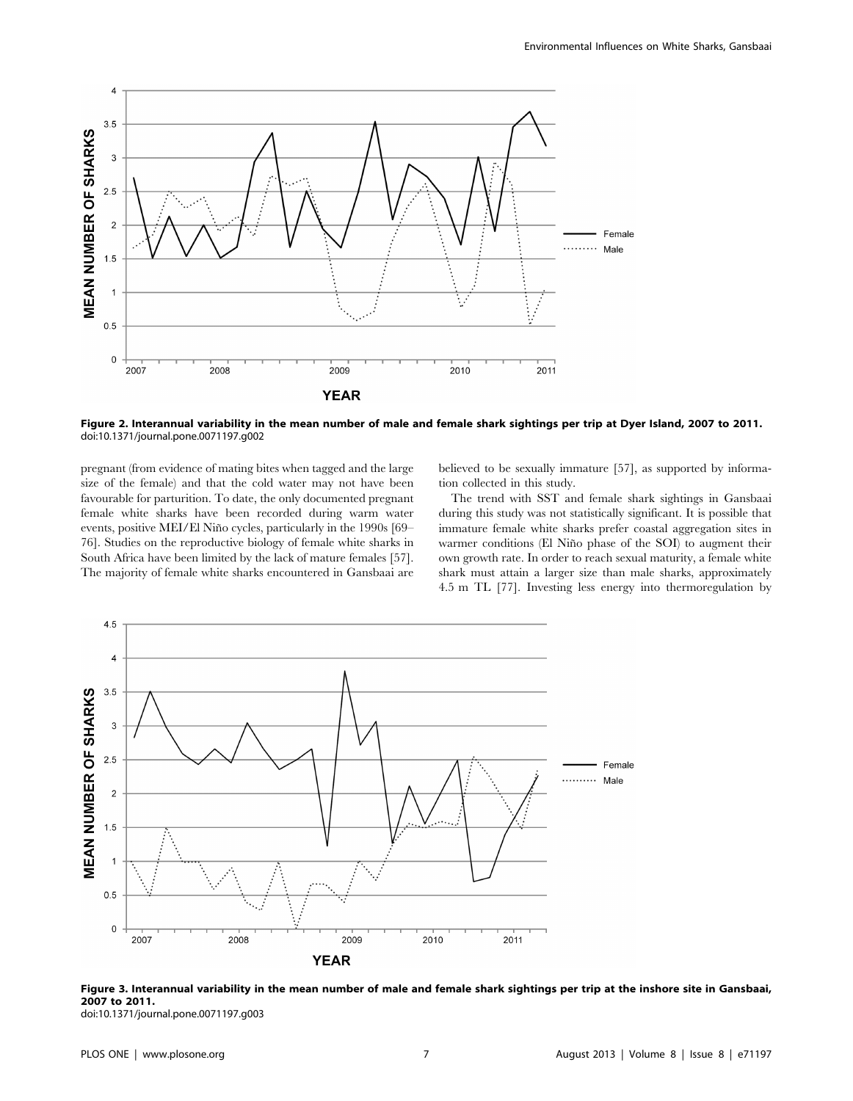

Figure 2. Interannual variability in the mean number of male and female shark sightings per trip at Dyer Island, 2007 to 2011. doi:10.1371/journal.pone.0071197.g002

pregnant (from evidence of mating bites when tagged and the large size of the female) and that the cold water may not have been favourable for parturition. To date, the only documented pregnant female white sharks have been recorded during warm water events, positive MEI/El Niño cycles, particularly in the 1990s [69– 76]. Studies on the reproductive biology of female white sharks in South Africa have been limited by the lack of mature females [57]. The majority of female white sharks encountered in Gansbaai are believed to be sexually immature [57], as supported by information collected in this study.

The trend with SST and female shark sightings in Gansbaai during this study was not statistically significant. It is possible that immature female white sharks prefer coastal aggregation sites in warmer conditions (El Niño phase of the SOI) to augment their own growth rate. In order to reach sexual maturity, a female white shark must attain a larger size than male sharks, approximately 4.5 m TL [77]. Investing less energy into thermoregulation by



Figure 3. Interannual variability in the mean number of male and female shark sightings per trip at the inshore site in Gansbaai, 2007 to 2011. doi:10.1371/journal.pone.0071197.g003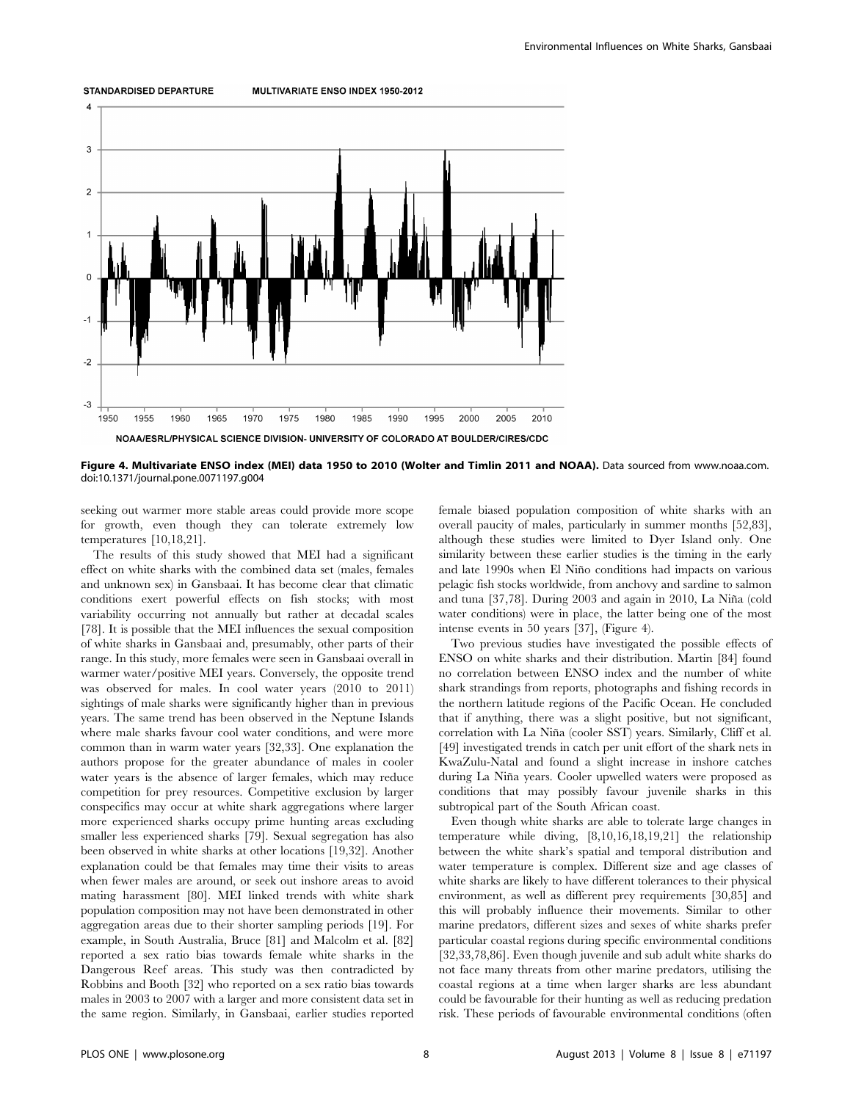

**STANDARDISED DEPARTURE** MULTIVARIATE ENSO INDEX 1950-2012

Figure 4. Multivariate ENSO index (MEI) data 1950 to 2010 (Wolter and Timlin 2011 and NOAA). Data sourced from www.noaa.com. doi:10.1371/journal.pone.0071197.g004

seeking out warmer more stable areas could provide more scope for growth, even though they can tolerate extremely low temperatures [10,18,21].

The results of this study showed that MEI had a significant effect on white sharks with the combined data set (males, females and unknown sex) in Gansbaai. It has become clear that climatic conditions exert powerful effects on fish stocks; with most variability occurring not annually but rather at decadal scales [78]. It is possible that the MEI influences the sexual composition of white sharks in Gansbaai and, presumably, other parts of their range. In this study, more females were seen in Gansbaai overall in warmer water/positive MEI years. Conversely, the opposite trend was observed for males. In cool water years (2010 to 2011) sightings of male sharks were significantly higher than in previous years. The same trend has been observed in the Neptune Islands where male sharks favour cool water conditions, and were more common than in warm water years [32,33]. One explanation the authors propose for the greater abundance of males in cooler water years is the absence of larger females, which may reduce competition for prey resources. Competitive exclusion by larger conspecifics may occur at white shark aggregations where larger more experienced sharks occupy prime hunting areas excluding smaller less experienced sharks [79]. Sexual segregation has also been observed in white sharks at other locations [19,32]. Another explanation could be that females may time their visits to areas when fewer males are around, or seek out inshore areas to avoid mating harassment [80]. MEI linked trends with white shark population composition may not have been demonstrated in other aggregation areas due to their shorter sampling periods [19]. For example, in South Australia, Bruce [81] and Malcolm et al. [82] reported a sex ratio bias towards female white sharks in the Dangerous Reef areas. This study was then contradicted by Robbins and Booth [32] who reported on a sex ratio bias towards males in 2003 to 2007 with a larger and more consistent data set in the same region. Similarly, in Gansbaai, earlier studies reported female biased population composition of white sharks with an overall paucity of males, particularly in summer months [52,83], although these studies were limited to Dyer Island only. One similarity between these earlier studies is the timing in the early and late 1990s when El Niño conditions had impacts on various pelagic fish stocks worldwide, from anchovy and sardine to salmon and tuna [37,78]. During 2003 and again in 2010, La Niña (cold water conditions) were in place, the latter being one of the most intense events in 50 years [37], (Figure 4).

Two previous studies have investigated the possible effects of ENSO on white sharks and their distribution. Martin [84] found no correlation between ENSO index and the number of white shark strandings from reports, photographs and fishing records in the northern latitude regions of the Pacific Ocean. He concluded that if anything, there was a slight positive, but not significant, correlation with La Niña (cooler SST) years. Similarly, Cliff et al. [49] investigated trends in catch per unit effort of the shark nets in KwaZulu-Natal and found a slight increase in inshore catches during La Niña years. Cooler upwelled waters were proposed as conditions that may possibly favour juvenile sharks in this subtropical part of the South African coast.

Even though white sharks are able to tolerate large changes in temperature while diving, [8,10,16,18,19,21] the relationship between the white shark's spatial and temporal distribution and water temperature is complex. Different size and age classes of white sharks are likely to have different tolerances to their physical environment, as well as different prey requirements [30,85] and this will probably influence their movements. Similar to other marine predators, different sizes and sexes of white sharks prefer particular coastal regions during specific environmental conditions [32,33,78,86]. Even though juvenile and sub adult white sharks do not face many threats from other marine predators, utilising the coastal regions at a time when larger sharks are less abundant could be favourable for their hunting as well as reducing predation risk. These periods of favourable environmental conditions (often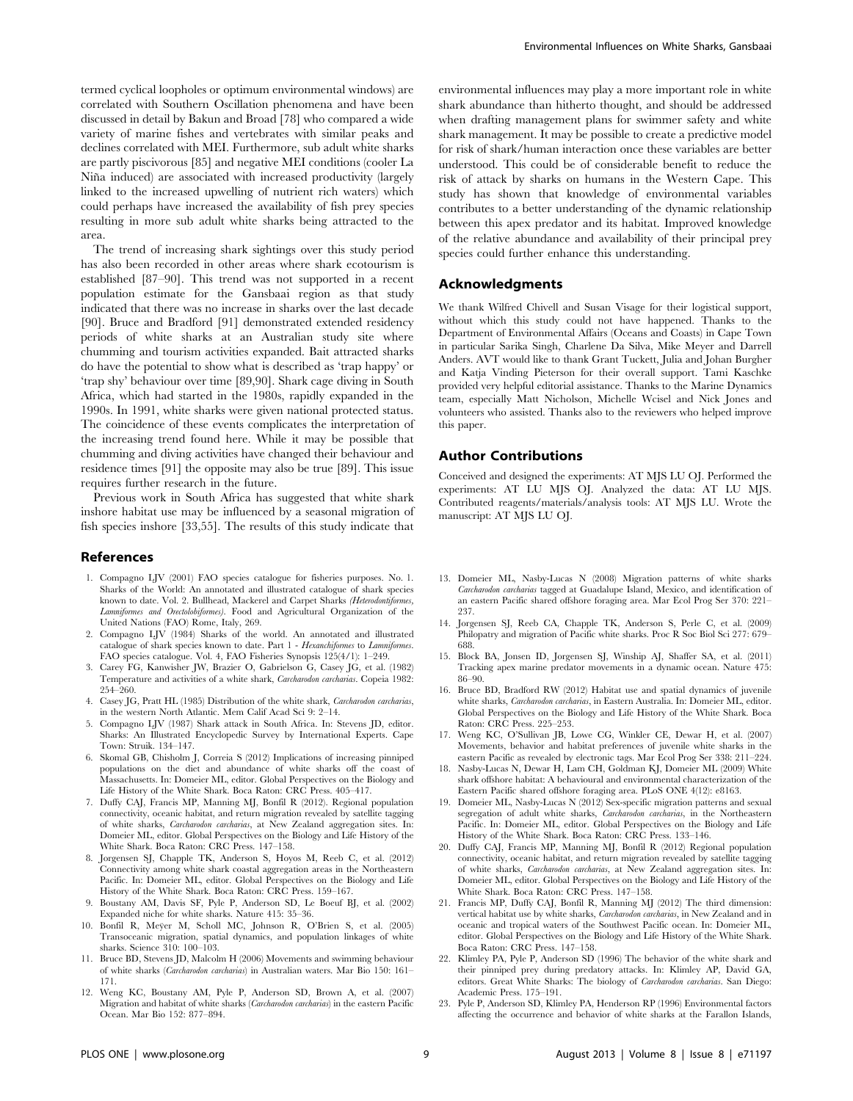termed cyclical loopholes or optimum environmental windows) are correlated with Southern Oscillation phenomena and have been discussed in detail by Bakun and Broad [78] who compared a wide variety of marine fishes and vertebrates with similar peaks and declines correlated with MEI. Furthermore, sub adult white sharks are partly piscivorous [85] and negative MEI conditions (cooler La Niña induced) are associated with increased productivity (largely linked to the increased upwelling of nutrient rich waters) which could perhaps have increased the availability of fish prey species resulting in more sub adult white sharks being attracted to the area.

The trend of increasing shark sightings over this study period has also been recorded in other areas where shark ecotourism is established [87–90]. This trend was not supported in a recent population estimate for the Gansbaai region as that study indicated that there was no increase in sharks over the last decade [90]. Bruce and Bradford [91] demonstrated extended residency periods of white sharks at an Australian study site where chumming and tourism activities expanded. Bait attracted sharks do have the potential to show what is described as 'trap happy' or 'trap shy' behaviour over time [89,90]. Shark cage diving in South Africa, which had started in the 1980s, rapidly expanded in the 1990s. In 1991, white sharks were given national protected status. The coincidence of these events complicates the interpretation of the increasing trend found here. While it may be possible that chumming and diving activities have changed their behaviour and residence times [91] the opposite may also be true [89]. This issue requires further research in the future.

Previous work in South Africa has suggested that white shark inshore habitat use may be influenced by a seasonal migration of fish species inshore [33,55]. The results of this study indicate that

#### References

- 1. Compagno LJV (2001) FAO species catalogue for fisheries purposes. No. 1. Sharks of the World: An annotated and illustrated catalogue of shark species known to date. Vol. 2. Bullhead, Mackerel and Carpet Sharks (Heterodontiformes, Lamniformes and Orectolobiformes). Food and Agricultural Organization of the United Nations (FAO) Rome, Italy, 269.
- 2. Compagno LJV (1984) Sharks of the world. An annotated and illustrated catalogue of shark species known to date. Part 1 - Hexanchiformes to Lamniformes. FAO species catalogue. Vol. 4, FAO Fisheries Synopsis 125(4/1): 1–249.
- 3. Carey FG, Kanwisher JW, Brazier O, Gabrielson G, Casey JG, et al. (1982) Temperature and activities of a white shark, Carcharodon carcharias. Copeia 1982: 254–260.
- 4. Casey JG, Pratt HL (1985) Distribution of the white shark, Carcharodon carcharias, in the western North Atlantic. Mem Calif Acad Sci 9: 2–14.
- 5. Compagno LJV (1987) Shark attack in South Africa. In: Stevens JD, editor. Sharks: An Illustrated Encyclopedic Survey by International Experts. Cape Town: Struik. 134–147.
- 6. Skomal GB, Chisholm J, Correia S (2012) Implications of increasing pinniped populations on the diet and abundance of white sharks off the coast of Massachusetts. In: Domeier ML, editor. Global Perspectives on the Biology and Life History of the White Shark. Boca Raton: CRC Press. 405–417.
- 7. Duffy CAJ, Francis MP, Manning MJ, Bonfil R (2012). Regional population connectivity, oceanic habitat, and return migration revealed by satellite tagging of white sharks, Carcharodon carcharias, at New Zealand aggregation sites. In: Domeier ML, editor. Global Perspectives on the Biology and Life History of the White Shark. Boca Raton: CRC Press. 147–158.
- 8. Jorgensen SJ, Chapple TK, Anderson S, Hoyos M, Reeb C, et al. (2012) Connectivity among white shark coastal aggregation areas in the Northeastern Pacific. In: Domeier ML, editor. Global Perspectives on the Biology and Life History of the White Shark. Boca Raton: CRC Press. 159–167.
- 9. Boustany AM, Davis SF, Pyle P, Anderson SD, Le Boeuf BJ, et al. (2002) Expanded niche for white sharks. Nature 415: 35–36.
- 10. Bonfil R, Meyer M, Scholl MC, Johnson R, O'Brien S, et al. (2005) Transoceanic migration, spatial dynamics, and population linkages of white sharks. Science 310: 100–103.
- 11. Bruce BD, Stevens JD, Malcolm H (2006) Movements and swimming behaviour of white sharks (Carcharodon carcharias) in Australian waters. Mar Bio 150: 161– 171.
- 12. Weng KC, Boustany AM, Pyle P, Anderson SD, Brown A, et al. (2007) Migration and habitat of white sharks (Carcharodon carcharias) in the eastern Pacific Ocean. Mar Bio 152: 877–894.

environmental influences may play a more important role in white shark abundance than hitherto thought, and should be addressed when drafting management plans for swimmer safety and white shark management. It may be possible to create a predictive model for risk of shark/human interaction once these variables are better understood. This could be of considerable benefit to reduce the risk of attack by sharks on humans in the Western Cape. This study has shown that knowledge of environmental variables contributes to a better understanding of the dynamic relationship between this apex predator and its habitat. Improved knowledge of the relative abundance and availability of their principal prey species could further enhance this understanding.

#### Acknowledgments

We thank Wilfred Chivell and Susan Visage for their logistical support, without which this study could not have happened. Thanks to the Department of Environmental Affairs (Oceans and Coasts) in Cape Town in particular Sarika Singh, Charlene Da Silva, Mike Meyer and Darrell Anders. AVT would like to thank Grant Tuckett, Julia and Johan Burgher and Katja Vinding Pieterson for their overall support. Tami Kaschke provided very helpful editorial assistance. Thanks to the Marine Dynamics team, especially Matt Nicholson, Michelle Wcisel and Nick Jones and volunteers who assisted. Thanks also to the reviewers who helped improve this paper.

# Author Contributions

Conceived and designed the experiments: AT MJS LU OJ. Performed the experiments: AT LU MJS OJ. Analyzed the data: AT LU MJS. Contributed reagents/materials/analysis tools: AT MJS LU. Wrote the manuscript: AT MJS LU OJ.

- 13. Domeier ML, Nasby-Lucas N (2008) Migration patterns of white sharks Carcharodon carcharias tagged at Guadalupe Island, Mexico, and identification of an eastern Pacific shared offshore foraging area. Mar Ecol Prog Ser 370: 221– 237.
- 14. Jorgensen SJ, Reeb CA, Chapple TK, Anderson S, Perle C, et al. (2009) Philopatry and migration of Pacific white sharks. Proc R Soc Biol Sci 277: 679– 688.
- 15. Block BA, Jonsen ID, Jorgensen SJ, Winship AJ, Shaffer SA, et al. (2011) Tracking apex marine predator movements in a dynamic ocean. Nature 475: 86–90.
- 16. Bruce BD, Bradford RW (2012) Habitat use and spatial dynamics of juvenile white sharks, *Carcharodon carcharias*, in Eastern Australia. In: Domeier ML, editor. Global Perspectives on the Biology and Life History of the White Shark. Boca Raton: CRC Press. 225–253.
- 17. Weng KC, O'Sullivan JB, Lowe CG, Winkler CE, Dewar H, et al. (2007) Movements, behavior and habitat preferences of juvenile white sharks in the eastern Pacific as revealed by electronic tags. Mar Ecol Prog Ser 338: 211–224.
- 18. Nasby-Lucas N, Dewar H, Lam CH, Goldman KJ, Domeier ML (2009) White shark offshore habitat: A behavioural and environmental characterization of the Eastern Pacific shared offshore foraging area. PLoS ONE 4(12): e8163.
- 19. Domeier ML, Nasby-Lucas N (2012) Sex-specific migration patterns and sexual segregation of adult white sharks, *Carcharodon carcharias*, in the Northeastern Pacific. In: Domeier ML, editor. Global Perspectives on the Biology and Life History of the White Shark. Boca Raton: CRC Press. 133–146.
- 20. Duffy CAJ, Francis MP, Manning MJ, Bonfil R (2012) Regional population connectivity, oceanic habitat, and return migration revealed by satellite tagging of white sharks, Carcharodon carcharias, at New Zealand aggregation sites. In: Domeier ML, editor. Global Perspectives on the Biology and Life History of the White Shark. Boca Raton: CRC Press. 147–158.
- 21. Francis MP, Duffy CAJ, Bonfil R, Manning MJ (2012) The third dimension: vertical habitat use by white sharks, Carcharodon carcharias, in New Zealand and in oceanic and tropical waters of the Southwest Pacific ocean. In: Domeier ML, editor. Global Perspectives on the Biology and Life History of the White Shark. Boca Raton: CRC Press. 147–158.
- 22. Klimley PA, Pyle P, Anderson SD (1996) The behavior of the white shark and their pinniped prey during predatory attacks. In: Klimley AP, David GA, editors. Great White Sharks: The biology of Carcharodon carcharias. San Diego: Academic Press. 175–191.
- 23. Pyle P, Anderson SD, Klimley PA, Henderson RP (1996) Environmental factors affecting the occurrence and behavior of white sharks at the Farallon Islands,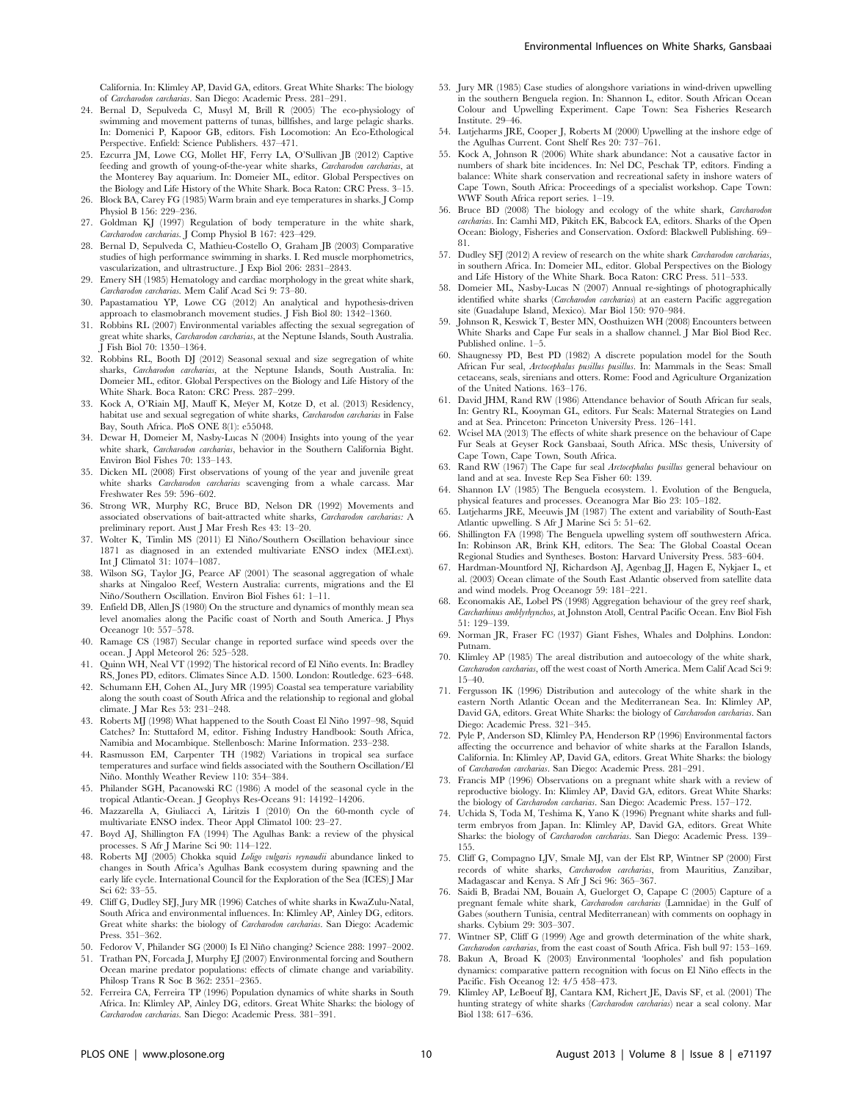- 24. Bernal D, Sepulveda C, Musyl M, Brill R (2005) The eco-physiology of swimming and movement patterns of tunas, billfishes, and large pelagic sharks. In: Domenici P, Kapoor GB, editors. Fish Locomotion: An Eco-Ethological Perspective. Enfield: Science Publishers. 437–471.
- 25. Ezcurra JM, Lowe CG, Mollet HF, Ferry LA, O'Sullivan JB (2012) Captive feeding and growth of young-of-the-year white sharks, Carcharodon carcharias, at the Monterey Bay aquarium. In: Domeier ML, editor. Global Perspectives on the Biology and Life History of the White Shark. Boca Raton: CRC Press. 3–15.
- 26. Block BA, Carey FG (1985) Warm brain and eye temperatures in sharks. J Comp Physiol B 156: 229–236.
- 27. Goldman KJ (1997) Regulation of body temperature in the white shark, Carcharodon carcharias. J Comp Physiol B 167: 423–429.
- 28. Bernal D, Sepulveda C, Mathieu-Costello O, Graham JB (2003) Comparative studies of high performance swimming in sharks. I. Red muscle morphometrics, vascularization, and ultrastructure. J Exp Biol 206: 2831–2843.
- 29. Emery SH (1985) Hematology and cardiac morphology in the great white shark, Carcharodon carcharias. Mem Calif Acad Sci 9: 73–80.
- 30. Papastamatiou YP, Lowe CG (2012) An analytical and hypothesis-driven approach to elasmobranch movement studies. J Fish Biol 80: 1342–1360.
- 31. Robbins RL (2007) Environmental variables affecting the sexual segregation of reat white sharks, Carcharodon carcharias, at the Neptune Islands, South Australia. J Fish Biol 70: 1350–1364.
- 32. Robbins RL, Booth DJ (2012) Seasonal sexual and size segregation of white sharks, Carcharodon carcharias, at the Neptune Islands, South Australia. In: Domeier ML, editor. Global Perspectives on the Biology and Life History of the White Shark. Boca Raton: CRC Press. 287–299.
- 33. Kock A, O'Riain MJ, Mauff K, Meyer M, Kotze D, et al. (2013) Residency, habitat use and sexual segregation of white sharks, Carcharodon carcharias in False Bay, South Africa. PloS ONE 8(1): e55048.
- 34. Dewar H, Domeier M, Nasby-Lucas N (2004) Insights into young of the year white shark, Carcharodon carcharias, behavior in the Southern California Bight. Environ Biol Fishes 70: 133–143.
- 35. Dicken ML (2008) First observations of young of the year and juvenile great white sharks *Carcharodon carcharias* scavenging from a whale carcass. Mar Freshwater Res 59: 596–602.
- 36. Strong WR, Murphy RC, Bruce BD, Nelson DR (1992) Movements and associated observations of bait-attracted white sharks, Carcharodon carcharias: A preliminary report. Aust J Mar Fresh Res 43: 13–20.
- 37. Wolter K, Timlin MS (2011) El Niño/Southern Oscillation behaviour since 1871 as diagnosed in an extended multivariate ENSO index (MEI.ext). Int J Climatol 31: 1074–1087.
- 38. Wilson SG, Taylor JG, Pearce AF (2001) The seasonal aggregation of whale sharks at Ningaloo Reef, Western Australia: currents, migrations and the El Niño/Southern Oscillation. Environ Biol Fishes 61: 1–11.
- 39. Enfield DB, Allen JS (1980) On the structure and dynamics of monthly mean sea level anomalies along the Pacific coast of North and South America. J Phys Oceanogr 10: 557–578.
- 40. Ramage CS (1987) Secular change in reported surface wind speeds over the ocean. J Appl Meteorol 26: 525–528.
- 41. Quinn WH, Neal VT (1992) The historical record of El Niño events. In: Bradley RS, Jones PD, editors. Climates Since A.D. 1500. London: Routledge. 623–648.
- 42. Schumann EH, Cohen AL, Jury MR (1995) Coastal sea temperature variability along the south coast of South Africa and the relationship to regional and global climate. J Mar Res 53: 231–248.
- 43. Roberts MJ (1998) What happened to the South Coast El Niño 1997–98, Squid Catches? In: Stuttaford M, editor. Fishing Industry Handbook: South Africa, Namibia and Mocambique. Stellenbosch: Marine Information. 233–238.
- 44. Rasmusson EM, Carpenter TH (1982) Variations in tropical sea surface temperatures and surface wind fields associated with the Southern Oscillation/El Niño. Monthly Weather Review 110: 354-384.
- 45. Philander SGH, Pacanowski RC (1986) A model of the seasonal cycle in the tropical Atlantic-Ocean. J Geophys Res-Oceans 91: 14192–14206.
- 46. Mazzarella A, Giuliacci A, Liritzis I (2010) On the 60-month cycle of multivariate ENSO index. Theor Appl Climatol 100: 23–27.
- 47. Boyd AJ, Shillington FA (1994) The Agulhas Bank: a review of the physical processes. S Afr J Marine Sci 90: 114–122.
- 48. Roberts MJ (2005) Chokka squid Loligo vulgaris reynaudii abundance linked to changes in South Africa's Agulhas Bank ecosystem during spawning and the early life cycle. International Council for the Exploration of the Sea (ICES) J Mar Sci 62: 33–55.
- 49. Cliff G, Dudley SFJ, Jury MR (1996) Catches of white sharks in KwaZulu-Natal, South Africa and environmental influences. In: Klimley AP, Ainley DG, editors. Great white sharks: the biology of Carcharodon carcharias. San Diego: Academic Press. 351–362.
- 50. Fedorov V, Philander SG (2000) Is El Niño changing? Science 288: 1997–2002.
- 51. Trathan PN, Forcada J, Murphy EJ (2007) Environmental forcing and Southern Ocean marine predator populations: effects of climate change and variability. Philosp Trans R Soc B 362: 2351–2365.
- 52. Ferreira CA, Ferreira TP (1996) Population dynamics of white sharks in South Africa. In: Klimley AP, Ainley DG, editors. Great White Sharks: the biology of Carcharodon carcharias. San Diego: Academic Press. 381–391.
- 53. Jury MR (1985) Case studies of alongshore variations in wind-driven upwelling in the southern Benguela region. In: Shannon L, editor. South African Ocean Colour and Upwelling Experiment. Cape Town: Sea Fisheries Research
- Institute. 29–46. 54. Lutjeharms JRE, Cooper J, Roberts M (2000) Upwelling at the inshore edge of the Agulhas Current. Cont Shelf Res 20: 737–761.
- 55. Kock A, Johnson R (2006) White shark abundance: Not a causative factor in numbers of shark bite incidences. In: Nel DC, Peschak TP, editors. Finding a balance: White shark conservation and recreational safety in inshore waters of Cape Town, South Africa: Proceedings of a specialist workshop. Cape Town: WWF South Africa report series. 1–19.
- 56. Bruce BD (2008) The biology and ecology of the white shark, Carcharodon carcharias. In: Camhi MD, Pikitch EK, Babcock EA, editors. Sharks of the Open Ocean: Biology, Fisheries and Conservation. Oxford: Blackwell Publishing. 69– 81.
- 57. Dudley SFJ (2012) A review of research on the white shark Carcharodon carcharias, in southern Africa. In: Domeier ML, editor. Global Perspectives on the Biology and Life History of the White Shark. Boca Raton: CRC Press. 511–533.
- 58. Domeier ML, Nasby-Lucas N (2007) Annual re-sightings of photographically identified white sharks (Carcharodon carcharias) at an eastern Pacific aggregation site (Guadalupe Island, Mexico). Mar Biol 150: 970–984.
- 59. Johnson R, Keswick T, Bester MN, Oosthuizen WH (2008) Encounters between White Sharks and Cape Fur seals in a shallow channel. J Mar Biol Biod Rec. Published online. 1–5.
- 60. Shaugnessy PD, Best PD (1982) A discrete population model for the South African Fur seal, Arctocephalus pusillus pusillus. In: Mammals in the Seas: Small cetaceans, seals, sirenians and otters. Rome: Food and Agriculture Organization of the United Nations. 163–176.
- 61. David JHM, Rand RW (1986) Attendance behavior of South African fur seals, In: Gentry RL, Kooyman GL, editors. Fur Seals: Maternal Strategies on Land and at Sea. Princeton: Princeton University Press. 126–141.
- 62. Wcisel MA (2013) The effects of white shark presence on the behaviour of Cape Fur Seals at Geyser Rock Gansbaai, South Africa. MSc thesis, University of Cape Town, Cape Town, South Africa.
- 63. Rand RW (1967) The Cape fur seal Arctocephalus pusillus general behaviour on land and at sea. Investe Rep Sea Fisher 60: 139.
- 64. Shannon LV (1985) The Benguela ecosystem. 1. Evolution of the Benguela, physical features and processes. Oceanogra Mar Bio 23: 105–182.
- 65. Lutjeharms JRE, Meeuwis JM (1987) The extent and variability of South-East Atlantic upwelling. S Afr J Marine Sci 5: 51–62.
- 66. Shillington FA (1998) The Benguela upwelling system off southwestern Africa. In: Robinson AR, Brink KH, editors. The Sea: The Global Coastal Ocean Regional Studies and Syntheses. Boston: Harvard University Press. 583–604.
- 67. Hardman-Mountford NJ, Richardson AJ, Agenbag JJ, Hagen E, Nykjaer L, et al. (2003) Ocean climate of the South East Atlantic observed from satellite data and wind models. Prog Oceanogr 59: 181–221.
- 68. Economakis AE, Lobel PS (1998) Aggregation behaviour of the grey reef shark, Carcharhinus amblyrhynchos, at Johnston Atoll, Central Pacific Ocean. Env Biol Fish 51: 129–139.
- 69. Norman JR, Fraser FC (1937) Giant Fishes, Whales and Dolphins. London: Putnam.
- 70. Klimley AP (1985) The areal distribution and autoecology of the white shark, Carcharodon carcharias, off the west coast of North America. Mem Calif Acad Sci 9: 15–40.
- 71. Fergusson IK (1996) Distribution and autecology of the white shark in the eastern North Atlantic Ocean and the Mediterranean Sea. In: Klimley AP, David GA, editors. Great White Sharks: the biology of Carcharodon carcharias. San Diego: Academic Press. 321–345.
- 72. Pyle P, Anderson SD, Klimley PA, Henderson RP (1996) Environmental factors affecting the occurrence and behavior of white sharks at the Farallon Islands, California. In: Klimley AP, David GA, editors. Great White Sharks: the biology of Carcharodon carcharias. San Diego: Academic Press. 281–291.
- 73. Francis MP (1996) Observations on a pregnant white shark with a review of reproductive biology. In: Klimley AP, David GA, editors. Great White Sharks: the biology of Carcharodon carcharias. San Diego: Academic Press. 157–172.
- 74. Uchida S, Toda M, Teshima K, Yano K (1996) Pregnant white sharks and fullterm embryos from Japan. In: Klimley AP, David GA, editors. Great White Sharks: the biology of Carcharodon carcharias. San Diego: Academic Press. 139– 155.
- 75. Cliff G, Compagno LJV, Smale MJ, van der Elst RP, Wintner SP (2000) First records of white sharks, Carcharodon carcharias, from Mauritius, Zanzibar, Madagascar and Kenya. S Afr J Sci 96: 365–367.
- 76. Saidi B, Bradai NM, Bouain A, Guelorget O, Capape C (2005) Capture of a pregnant female white shark, Carcharodon carcharias (Lamnidae) in the Gulf of Gabes (southern Tunisia, central Mediterranean) with comments on oophagy in sharks. Cybium 29: 303–307.
- 77. Wintner SP, Cliff G (1999) Age and growth determination of the white shark, Carcharodon carcharias, from the east coast of South Africa. Fish bull 97: 153–169.
- 78. Bakun A, Broad K (2003) Environmental 'loopholes' and fish population dynamics: comparative pattern recognition with focus on El Niño effects in the Pacific. Fish Oceanog 12: 4/5 458–473.
- 79. Klimley AP, LeBoeuf BJ, Cantara KM, Richert JE, Davis SF, et al. (2001) The hunting strategy of white sharks (Carcharodon carcharias) near a seal colony. Mar Biol 138: 617–636.